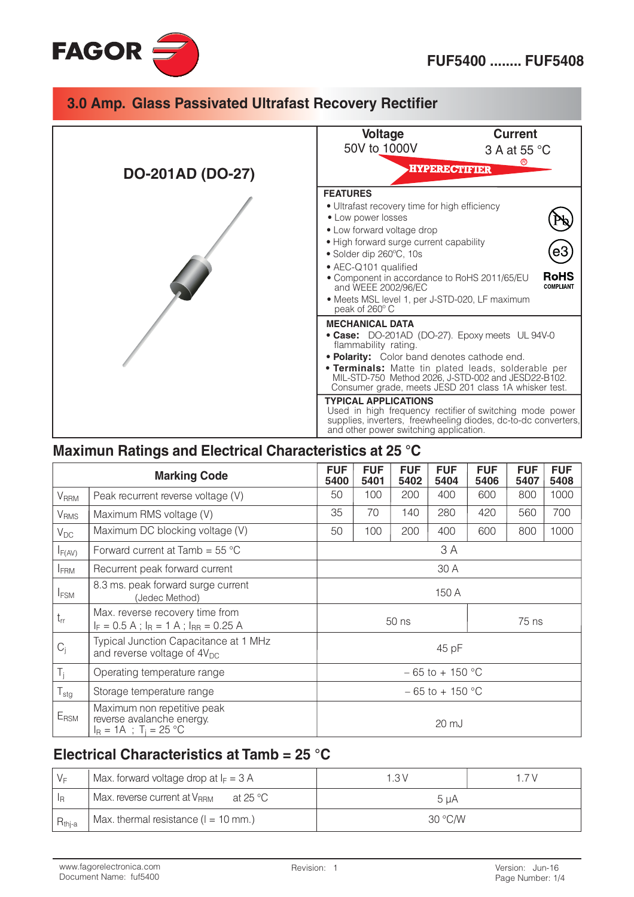

# 3.0 Amp. Glass Passivated Ultrafast Recovery Rectifier

|                         | <b>Current</b><br><b>Voltage</b><br>50V to 1000V<br>3 A at 55 °C                                                                                                                                                                                                                                                                                                                                 |  |  |  |
|-------------------------|--------------------------------------------------------------------------------------------------------------------------------------------------------------------------------------------------------------------------------------------------------------------------------------------------------------------------------------------------------------------------------------------------|--|--|--|
| <b>DO-201AD (DO-27)</b> | <b>HYPERECTIFIER</b>                                                                                                                                                                                                                                                                                                                                                                             |  |  |  |
|                         | <b>FEATURES</b><br>• Ultrafast recovery time for high efficiency<br>• Low power losses<br>• Low forward voltage drop<br>• High forward surge current capability<br>• Solder dip 260°C, 10s<br>• AEC-Q101 qualified<br><b>RoHS</b><br>• Component in accordance to RoHS 2011/65/EU<br><b>COMPLIANT</b><br>and WEEE 2002/96/EC<br>• Meets MSL level 1, per J-STD-020, LF maximum<br>peak of 260° C |  |  |  |
|                         | <b>MECHANICAL DATA</b><br>• Case: DO-201AD (DO-27). Epoxy meets UL 94V-0<br>flammability rating.<br>. Polarity: Color band denotes cathode end.<br><b>• Terminals:</b> Matte tin plated leads, solderable per<br>MIL-STD-750 Method 2026, J-STD-002 and JESD22-B102.<br>Consumer grade, meets JESD 201 class 1A whisker test.                                                                    |  |  |  |
|                         | <b>TYPICAL APPLICATIONS</b><br>Used in high frequency rectifier of switching mode power<br>supplies, inverters, freewheeling diodes, dc-to-dc converters,<br>and other power switching application.                                                                                                                                                                                              |  |  |  |

### Maximun Ratings and Electrical Characteristics at 25 °C

| <b>Marking Code</b>    |                                                                                                 | <b>FUF</b><br>5400                    | <b>FUF</b><br>5401 | <b>FUF</b><br>5402 | <b>FUF</b><br>5404 | <b>FUF</b><br>5406 | <b>FUF</b><br>5407 | <b>FUF</b><br>5408 |
|------------------------|-------------------------------------------------------------------------------------------------|---------------------------------------|--------------------|--------------------|--------------------|--------------------|--------------------|--------------------|
| <b>V</b> RRM           | Peak recurrent reverse voltage (V)                                                              | 50                                    | 100                | 200                | 400                | 600                | 800                | 1000               |
| <b>V<sub>RMS</sub></b> | Maximum RMS voltage (V)                                                                         | 35<br>70<br>280<br>420<br>140<br>560  |                    | 700                |                    |                    |                    |                    |
| $V_{DC}$               | Maximum DC blocking voltage (V)                                                                 | 100<br>600<br>50<br>200<br>400<br>800 |                    | 1000               |                    |                    |                    |                    |
| $I_{F(AV)}$            | Forward current at Tamb = $55^{\circ}$ C                                                        | 3 A                                   |                    |                    |                    |                    |                    |                    |
| <b>IFRM</b>            | Recurrent peak forward current                                                                  | 30 A                                  |                    |                    |                    |                    |                    |                    |
| <b>I</b> FSM           | 8.3 ms. peak forward surge current<br>(Jedec Method)                                            | 150 A                                 |                    |                    |                    |                    |                    |                    |
| $t_{rr}$               | Max. reverse recovery time from<br>$I_F = 0.5 A$ ; $I_R = 1 A$ ; $I_{RR} = 0.25 A$              | 50 ns<br>75 ns                        |                    |                    |                    |                    |                    |                    |
| $C_i$                  | Typical Junction Capacitance at 1 MHz<br>and reverse voltage of $4V_{DC}$                       | 45 pF                                 |                    |                    |                    |                    |                    |                    |
| $T_{j}$                | Operating temperature range                                                                     | $-65$ to + 150 °C                     |                    |                    |                    |                    |                    |                    |
| $T_{\text{stg}}$       | Storage temperature range                                                                       | $-65$ to + 150 °C                     |                    |                    |                    |                    |                    |                    |
| E <sub>RSM</sub>       | Maximum non repetitive peak<br>reverse avalanche energy.<br>$I_R = 1A$ ; T <sub>i</sub> = 25 °C | 20 mJ                                 |                    |                    |                    |                    |                    |                    |

## Electrical Characteristics at Tamb = 25 °C

| $V_F$       | Max. forward voltage drop at $I_F = 3$ A             | 1.3V    | 17V |  |
|-------------|------------------------------------------------------|---------|-----|--|
| l le        | Max. reverse current at V <sub>RRM</sub><br>at 25 °C | 5 uA    |     |  |
| $R_{thi-a}$ | Max. thermal resistance $(l = 10$ mm.)               | 30 °C/W |     |  |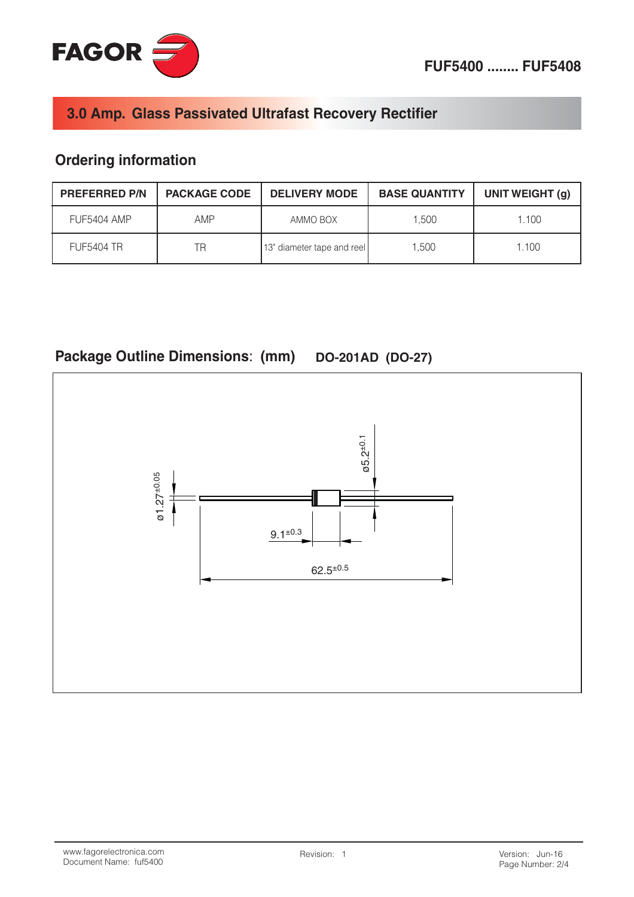

## 3.0 Amp. Glass Passivated Ultrafast Recovery Rectifier

## **Ordering information**

| <b>PREFERRED P/N</b> | <b>PACKAGE CODE</b> | <b>DELIVERY MODE</b>       | <b>BASE QUANTITY</b> | UNIT WEIGHT (g) |
|----------------------|---------------------|----------------------------|----------------------|-----------------|
| FUF5404 AMP          | AMP                 | AMMO BOX                   | 1.500                | 1.100           |
| <b>FUF5404 TR</b>    | ΤR                  | 13" diameter tape and reel | 1.500                | 1.100           |

# Package Outline Dimensions: (mm) DO-201AD (DO-27)

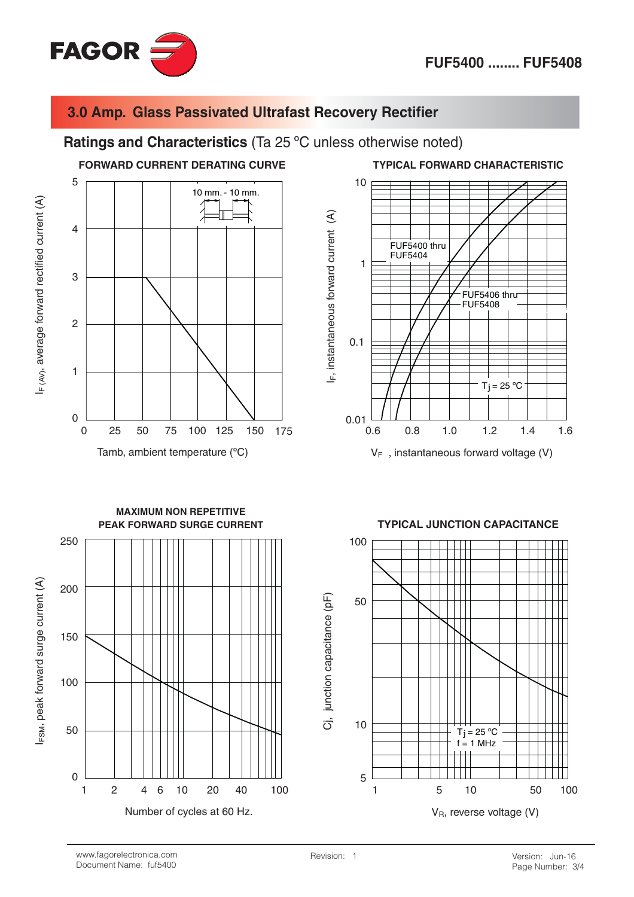

IF (AV), average forward rectified current (A)

### 3.0 Amp. Glass Passivated Ultrafast Recovery Rectifier

#### Ratings and Characteristics (Ta 25 °C unless otherwise noted)







 $V_F$ , instantaneous forward voltage (V)



#### **TYPICAL JUNCTION CAPACITANCE**